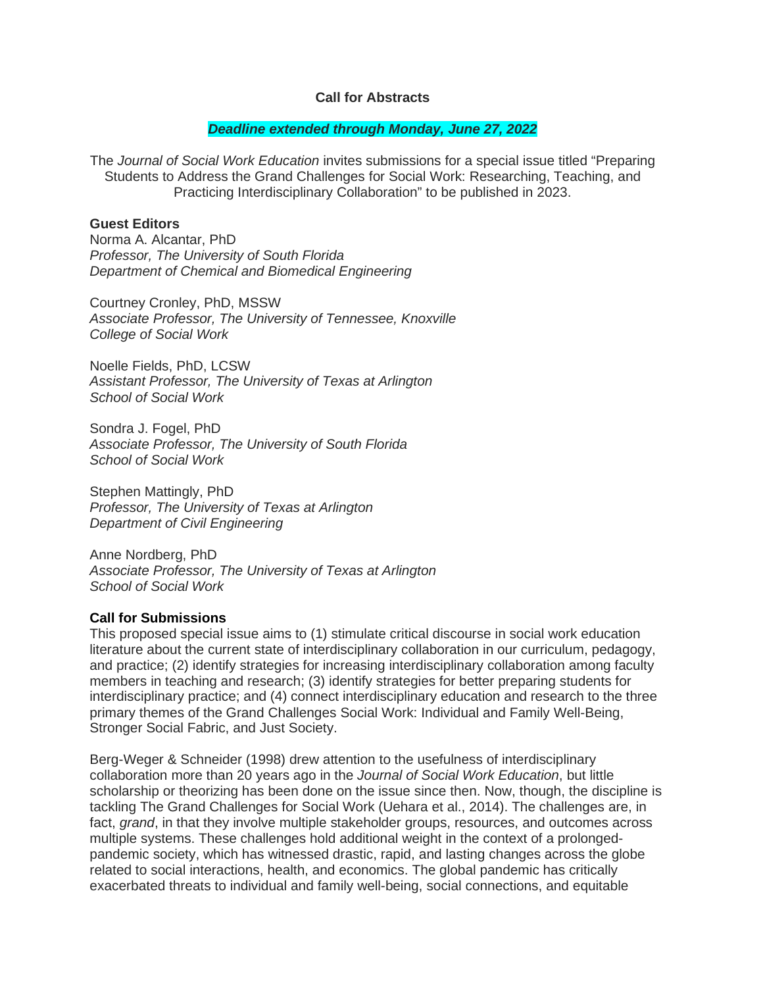### **Call for Abstracts**

#### *Deadline extended through Monday, June 27, 2022*

The *Journal of Social Work Education* invites submissions for a special issue titled "Preparing Students to Address the Grand Challenges for Social Work: Researching, Teaching, and Practicing Interdisciplinary Collaboration" to be published in 2023.

### **Guest Editors**

Norma A. Alcantar, PhD *Professor, The University of South Florida Department of Chemical and Biomedical Engineering*

Courtney Cronley, PhD, MSSW *Associate Professor, The University of Tennessee, Knoxville College of Social Work*

Noelle Fields, PhD, LCSW *Assistant Professor, The University of Texas at Arlington School of Social Work* 

Sondra J. Fogel, PhD *Associate Professor, The University of South Florida School of Social Work*

Stephen Mattingly, PhD *Professor, The University of Texas at Arlington Department of Civil Engineering*

Anne Nordberg, PhD *Associate Professor, The University of Texas at Arlington School of Social Work*

## **Call for Submissions**

This proposed special issue aims to (1) stimulate critical discourse in social work education literature about the current state of interdisciplinary collaboration in our curriculum, pedagogy, and practice; (2) identify strategies for increasing interdisciplinary collaboration among faculty members in teaching and research; (3) identify strategies for better preparing students for interdisciplinary practice; and (4) connect interdisciplinary education and research to the three primary themes of the Grand Challenges Social Work: Individual and Family Well-Being, Stronger Social Fabric, and Just Society.

Berg-Weger & Schneider (1998) drew attention to the usefulness of interdisciplinary collaboration more than 20 years ago in the *Journal of Social Work Education*, but little scholarship or theorizing has been done on the issue since then. Now, though, the discipline is tackling The Grand Challenges for Social Work (Uehara et al., 2014). The challenges are, in fact, *grand*, in that they involve multiple stakeholder groups, resources, and outcomes across multiple systems. These challenges hold additional weight in the context of a prolongedpandemic society, which has witnessed drastic, rapid, and lasting changes across the globe related to social interactions, health, and economics. The global pandemic has critically exacerbated threats to individual and family well-being, social connections, and equitable